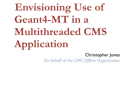**Envisioning Use of**  Geant4-MT in a **Multithreaded CMS Application**

## Christopher Jones

*On behalf of the CMS Offline Organization*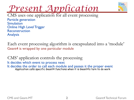



CMS uses one application for all event processing Particle generation Simulation Online High Level Trigger Reconstruction Analysis

Each event processing algorithm is encapsulated into a 'module' Geant4 is wrapped by one particular module

CMS' application controls the processing It decides which event to process next It decides the order to call each module and passes it the proper event<br>Application calls specific Geant4 functions when it is Geant4's turn to do work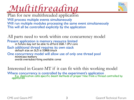## *Multithreading*



Plan for new multithreaded application Will process multiple events simultaneously Will run multiple modules processing the same event simultaneously This will all be controlled explicitly by the application

All parts need to work within one concurrency model Present application is memory resource limited in future may not be able to afford 2GB / CPU core Each additional thread requires its own stack default size on SL5 is 10MB/stack One concurrency model will allow use of only one thread pool minimizes memory<br>avoids oversubscribing available cores

Interested in Geant-MT if it can fit with this working model Where concurrency is controlled by the experiment's application<br>E.g. Application calls specific Geant methods at proper time from a thread controlled by<br>application